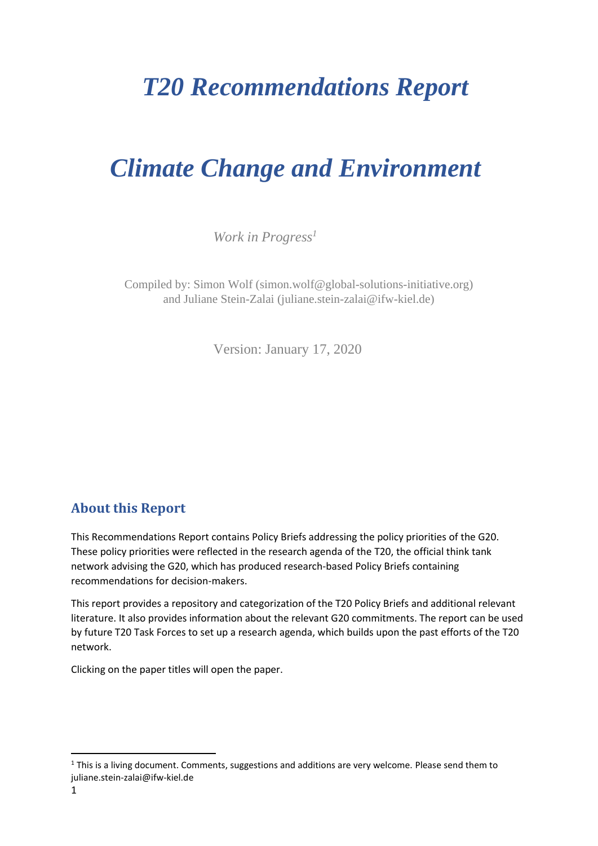# *T20 Recommendations Report*

# *Climate Change and Environment*

*Work in Progress<sup>1</sup>*

Compiled by: Simon Wolf (simon.wolf@global-solutions-initiative.org) and Juliane Stein-Zalai (juliane.stein-zalai@ifw-kiel.de)

Version: January 17, 2020

# <span id="page-0-0"></span>**About this Report**

This Recommendations Report contains Policy Briefs addressing the policy priorities of the G20. These policy priorities were reflected in the research agenda of the T20, the official think tank network advising the G20, which has produced research-based Policy Briefs containing recommendations for decision-makers.

This report provides a repository and categorization of the T20 Policy Briefs and additional relevant literature. It also provides information about the relevant G20 commitments. The report can be used by future T20 Task Forces to set up a research agenda, which builds upon the past efforts of the T20 network.

Clicking on the paper titles will open the paper.

<sup>&</sup>lt;sup>1</sup> This is a living document. Comments, suggestions and additions are very welcome. Please send them to juliane.stein-zalai@ifw-kiel.de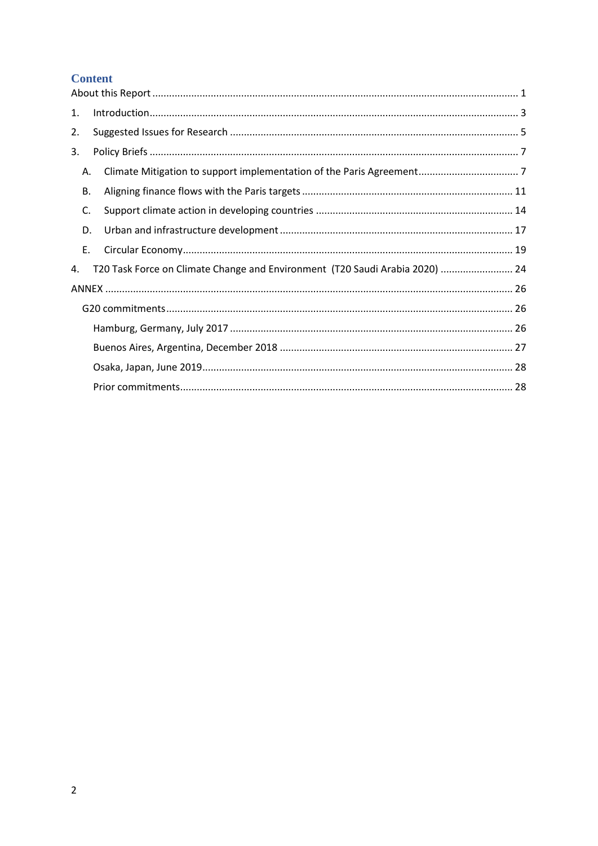## **Content**

| 1. |  |                                                                              |  |
|----|--|------------------------------------------------------------------------------|--|
| 2. |  |                                                                              |  |
| 3. |  |                                                                              |  |
| А. |  |                                                                              |  |
| В. |  |                                                                              |  |
| C. |  |                                                                              |  |
| D. |  |                                                                              |  |
| Ε. |  |                                                                              |  |
| 4. |  | T20 Task Force on Climate Change and Environment (T20 Saudi Arabia 2020)  24 |  |
|    |  |                                                                              |  |
|    |  |                                                                              |  |
|    |  |                                                                              |  |
|    |  |                                                                              |  |
|    |  |                                                                              |  |
|    |  |                                                                              |  |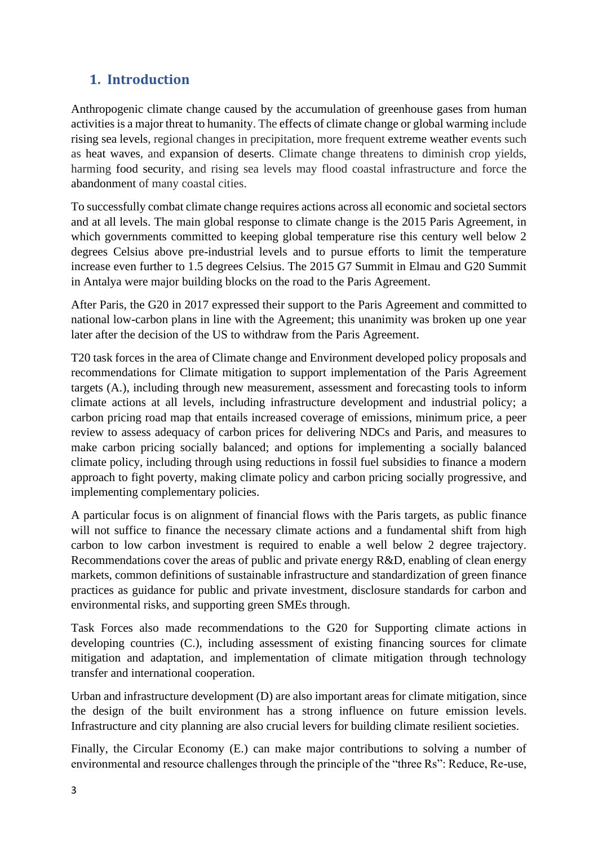# <span id="page-2-0"></span>**1. Introduction**

Anthropogenic climate change caused by the accumulation of greenhouse gases from human activities is a major threat to humanity. The effects of climate change or global warming include rising sea levels, regional changes in precipitation, more frequent extreme weather events such as heat waves, and expansion of deserts. Climate change threatens to diminish crop yields, harming food security, and rising sea levels may flood coastal infrastructure and force the abandonment of many coastal cities.

To successfully combat climate change requires actions across all economic and societal sectors and at all levels. The main global response to climate change is the 2015 Paris Agreement, in which governments committed to keeping global temperature rise this century well below 2 degrees Celsius above pre-industrial levels and to pursue efforts to limit the temperature increase even further to 1.5 degrees Celsius. The 2015 G7 Summit in Elmau and G20 Summit in Antalya were major building blocks on the road to the Paris Agreement.

After Paris, the G20 in 2017 expressed their support to the Paris Agreement and committed to national low-carbon plans in line with the Agreement; this unanimity was broken up one year later after the decision of the US to withdraw from the Paris Agreement.

T20 task forces in the area of Climate change and Environment developed policy proposals and recommendations for Climate mitigation to support implementation of the Paris Agreement targets (A.), including through new measurement, assessment and forecasting tools to inform climate actions at all levels, including infrastructure development and industrial policy; a carbon pricing road map that entails increased coverage of emissions, minimum price, a peer review to assess adequacy of carbon prices for delivering NDCs and Paris, and measures to make carbon pricing socially balanced; and options for implementing a socially balanced climate policy, including through using reductions in fossil fuel subsidies to finance a modern approach to fight poverty, making climate policy and carbon pricing socially progressive, and implementing complementary policies.

A particular focus is on alignment of financial flows with the Paris targets, as public finance will not suffice to finance the necessary climate actions and a fundamental shift from high carbon to low carbon investment is required to enable a well below 2 degree trajectory. Recommendations cover the areas of public and private energy R&D, enabling of clean energy markets, common definitions of sustainable infrastructure and standardization of green finance practices as guidance for public and private investment, disclosure standards for carbon and environmental risks, and supporting green SMEs through.

Task Forces also made recommendations to the G20 for Supporting climate actions in developing countries (C.), including assessment of existing financing sources for climate mitigation and adaptation, and implementation of climate mitigation through technology transfer and international cooperation.

Urban and infrastructure development (D) are also important areas for climate mitigation, since the design of the built environment has a strong influence on future emission levels. Infrastructure and city planning are also crucial levers for building climate resilient societies.

Finally, the Circular Economy (E.) can make major contributions to solving a number of environmental and resource challenges through the principle of the "three Rs": Reduce, Re-use,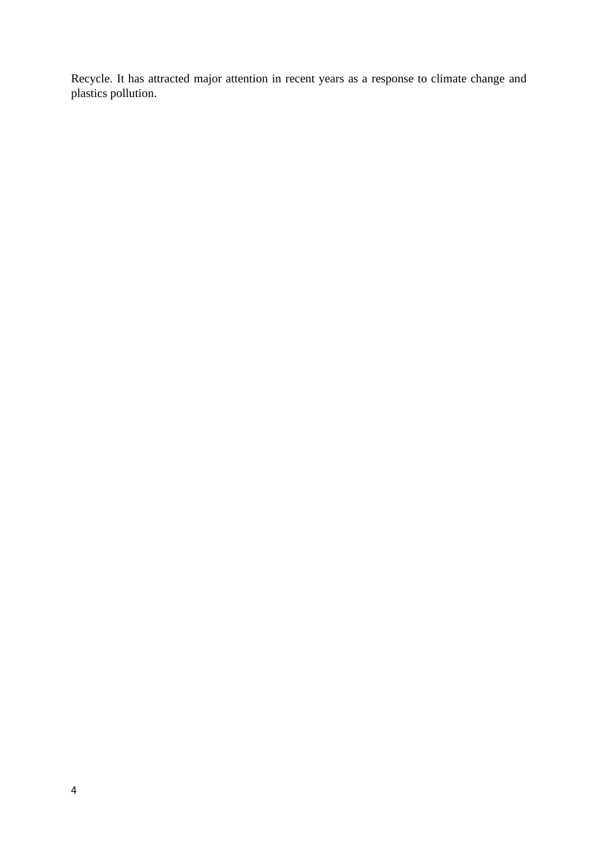Recycle. It has attracted major attention in recent years as a response to climate change and plastics pollution.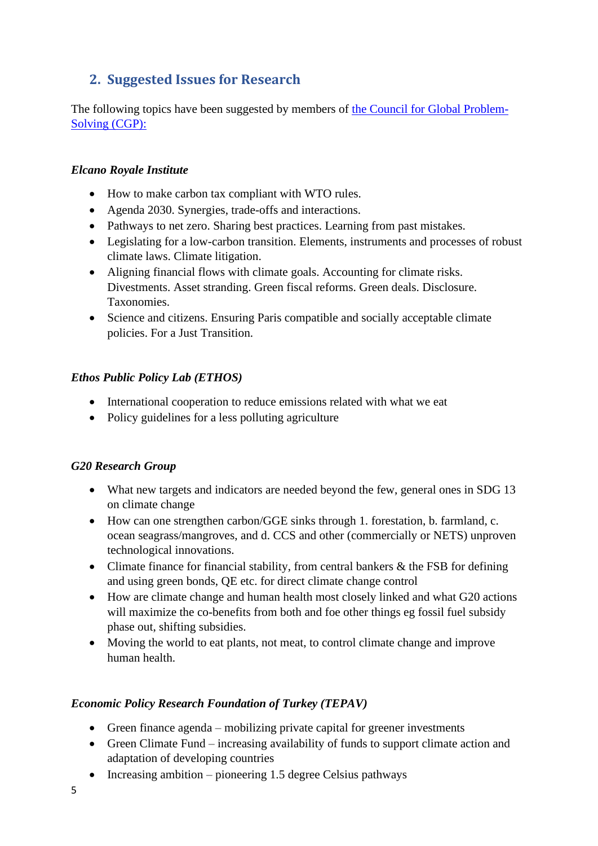# <span id="page-4-0"></span>**2. Suggested Issues for Research**

The following topics have been suggested by members of [the Council for Global Problem-](https://www.ifw-kiel.de/institute/about-the-kiel-institute/partners-networks-initiatives/initiatives-and-networks/council-for-global-problem-solving/)[Solving \(CGP\):](https://www.ifw-kiel.de/institute/about-the-kiel-institute/partners-networks-initiatives/initiatives-and-networks/council-for-global-problem-solving/)

## *Elcano Royale Institute*

- How to make carbon tax compliant with WTO rules.
- Agenda 2030. Synergies, trade-offs and interactions.
- Pathways to net zero. Sharing best practices. Learning from past mistakes.
- Legislating for a low-carbon transition. Elements, instruments and processes of robust climate laws. Climate litigation.
- Aligning financial flows with climate goals. Accounting for climate risks. Divestments. Asset stranding. Green fiscal reforms. Green deals. Disclosure. Taxonomies.
- Science and citizens. Ensuring Paris compatible and socially acceptable climate policies. For a Just Transition.

## *Ethos Public Policy Lab (ETHOS)*

- International cooperation to reduce emissions related with what we eat
- Policy guidelines for a less polluting agriculture

## *G20 Research Group*

- What new targets and indicators are needed beyond the few, general ones in SDG 13 on climate change
- How can one strengthen carbon/GGE sinks through 1. forestation, b. farmland, c. ocean seagrass/mangroves, and d. CCS and other (commercially or NETS) unproven technological innovations.
- Climate finance for financial stability, from central bankers & the FSB for defining and using green bonds, QE etc. for direct climate change control
- How are climate change and human health most closely linked and what G20 actions will maximize the co-benefits from both and foe other things eg fossil fuel subsidy phase out, shifting subsidies.
- Moving the world to eat plants, not meat, to control climate change and improve human health.

## *Economic Policy Research Foundation of Turkey (TEPAV)*

- Green finance agenda mobilizing private capital for greener investments
- Green Climate Fund increasing availability of funds to support climate action and adaptation of developing countries
- Increasing ambition pioneering 1.5 degree Celsius pathways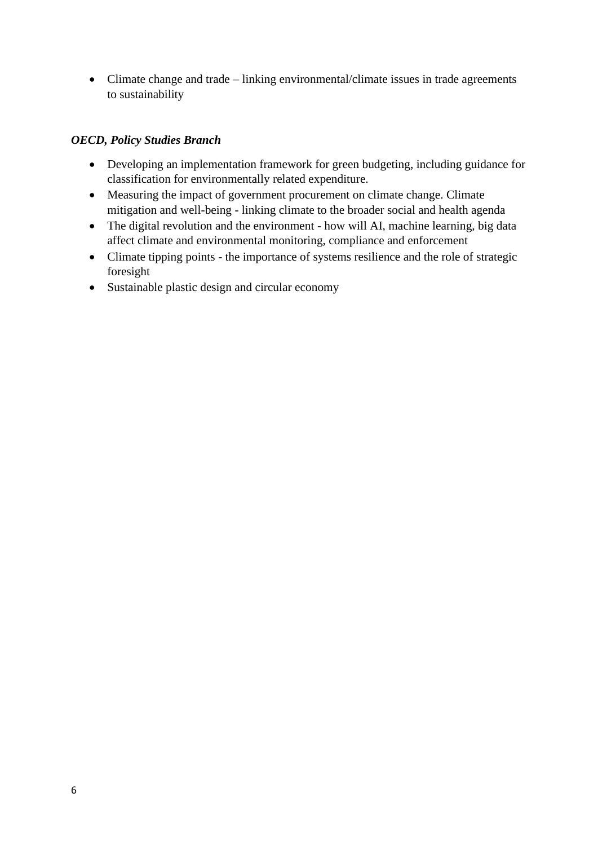• Climate change and trade – linking environmental/climate issues in trade agreements to sustainability

## *OECD, Policy Studies Branch*

- Developing an implementation framework for green budgeting, including guidance for classification for environmentally related expenditure.
- Measuring the impact of government procurement on climate change. Climate mitigation and well-being - linking climate to the broader social and health agenda
- The digital revolution and the environment how will AI, machine learning, big data affect climate and environmental monitoring, compliance and enforcement
- Climate tipping points the importance of systems resilience and the role of strategic foresight
- Sustainable plastic design and circular economy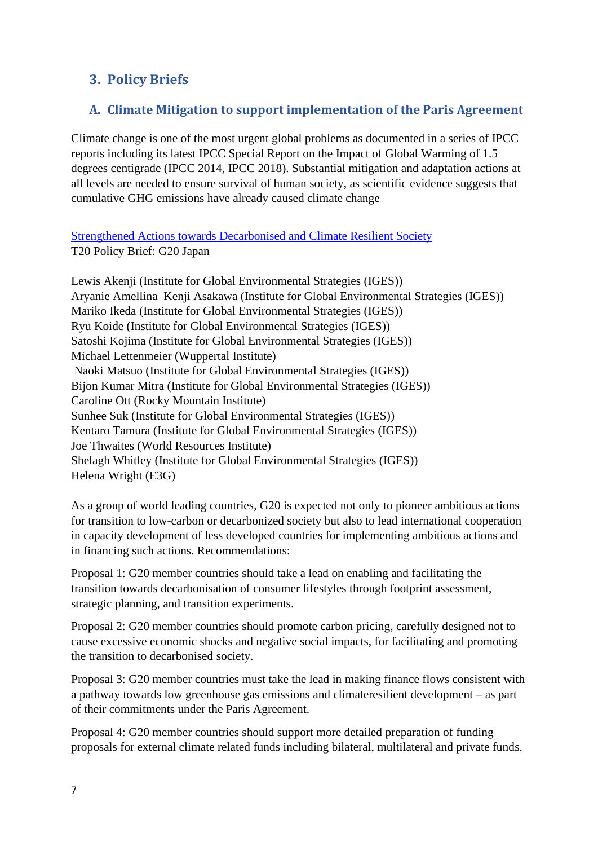# <span id="page-6-0"></span>**3. Policy Briefs**

# <span id="page-6-1"></span>**A. Climate Mitigation to support implementation of the Paris Agreement**

Climate change is one of the most urgent global problems as documented in a series of IPCC reports including its latest IPCC Special Report on the Impact of Global Warming of 1.5 degrees centigrade (IPCC 2014, IPCC 2018). Substantial mitigation and adaptation actions at all levels are needed to ensure survival of human society, as scientific evidence suggests that cumulative GHG emissions have already caused climate change

[Strengthened Actions towards Decarbonised and Climate Resilient Society](https://www.g20-insights.org/policy_briefs/strengthened-actions-towards-decarbonised-and-climate-resilient-society-2/) T20 Policy Brief: G20 Japan

Lewis Akenii (Institute for Global Environmental Strategies (IGES)) Aryanie Amellina Kenji Asakawa (Institute for Global Environmental Strategies (IGES)) Mariko Ikeda (Institute for Global Environmental Strategies (IGES)) Ryu Koide (Institute for Global Environmental Strategies (IGES)) Satoshi Kojima (Institute for Global Environmental Strategies (IGES)) Michael Lettenmeier (Wuppertal Institute) Naoki Matsuo (Institute for Global Environmental Strategies (IGES)) Bijon Kumar Mitra (Institute for Global Environmental Strategies (IGES)) Caroline Ott (Rocky Mountain Institute) Sunhee Suk (Institute for Global Environmental Strategies (IGES)) Kentaro Tamura (Institute for Global Environmental Strategies (IGES)) Joe Thwaites (World Resources Institute) Shelagh Whitley (Institute for Global Environmental Strategies (IGES)) Helena Wright (E3G)

As a group of world leading countries, G20 is expected not only to pioneer ambitious actions for transition to low-carbon or decarbonized society but also to lead international cooperation in capacity development of less developed countries for implementing ambitious actions and in financing such actions. Recommendations:

Proposal 1: G20 member countries should take a lead on enabling and facilitating the transition towards decarbonisation of consumer lifestyles through footprint assessment, strategic planning, and transition experiments.

Proposal 2: G20 member countries should promote carbon pricing, carefully designed not to cause excessive economic shocks and negative social impacts, for facilitating and promoting the transition to decarbonised society.

Proposal 3: G20 member countries must take the lead in making finance flows consistent with a pathway towards low greenhouse gas emissions and climateresilient development – as part of their commitments under the Paris Agreement.

Proposal 4: G20 member countries should support more detailed preparation of funding proposals for external climate related funds including bilateral, multilateral and private funds.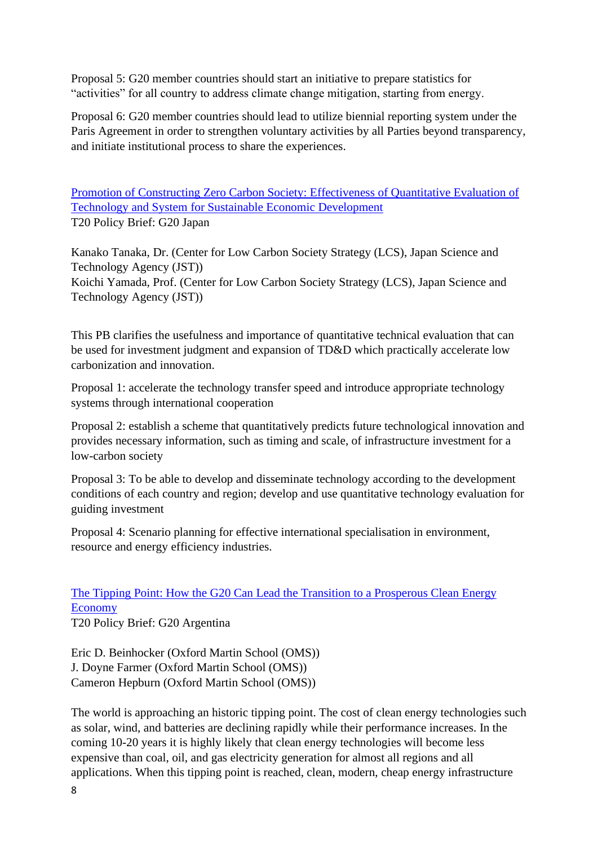Proposal 5: G20 member countries should start an initiative to prepare statistics for "activities" for all country to address climate change mitigation, starting from energy.

Proposal 6: G20 member countries should lead to utilize biennial reporting system under the Paris Agreement in order to strengthen voluntary activities by all Parties beyond transparency, and initiate institutional process to share the experiences.

Promotion of Constructing Zero Carbon Society: [Effectiveness](https://www.g20-insights.org/policy_briefs/promotion-of-constructing-zero-carbon-society-effectiveness-of-quantitative-evaluation-of-technology-and-system-for-sustainable-economic-development-2/) of Quantitative Evaluation of Technology and System for Sustainable Economic [Development](https://www.g20-insights.org/policy_briefs/promotion-of-constructing-zero-carbon-society-effectiveness-of-quantitative-evaluation-of-technology-and-system-for-sustainable-economic-development-2/) T20 Policy Brief: G20 Japan

Kanako Tanaka, Dr. (Center for Low Carbon Society Strategy (LCS), Japan Science and Technology Agency (JST)) Koichi Yamada, Prof. (Center for Low Carbon Society Strategy (LCS), Japan Science and Technology Agency (JST))

This PB clarifies the usefulness and importance of quantitative technical evaluation that can be used for investment judgment and expansion of TD&D which practically accelerate low carbonization and innovation.

Proposal 1: accelerate the technology transfer speed and introduce appropriate technology systems through international cooperation

Proposal 2: establish a scheme that quantitatively predicts future technological innovation and provides necessary information, such as timing and scale, of infrastructure investment for a low-carbon society

Proposal 3: To be able to develop and disseminate technology according to the development conditions of each country and region; develop and use quantitative technology evaluation for guiding investment

Proposal 4: Scenario planning for effective international specialisation in environment, resource and energy efficiency industries.

# [The Tipping Point: How the G20 Can Lead the Transition to a Prosperous Clean Energy](https://www.g20-insights.org/policy_briefs/the-tipping-point-how-the-g20-can-lead-the-transition-to-a-prosperous-clean-energy-economy/)  [Economy](https://www.g20-insights.org/policy_briefs/the-tipping-point-how-the-g20-can-lead-the-transition-to-a-prosperous-clean-energy-economy/)

T20 Policy Brief: G20 Argentina

Eric D. Beinhocker (Oxford Martin School (OMS)) J. Doyne Farmer (Oxford Martin School (OMS)) Cameron Hepburn (Oxford Martin School (OMS))

The world is approaching an historic tipping point. The cost of clean energy technologies such as solar, wind, and batteries are declining rapidly while their performance increases. In the coming 10-20 years it is highly likely that clean energy technologies will become less expensive than coal, oil, and gas electricity generation for almost all regions and all applications. When this tipping point is reached, clean, modern, cheap energy infrastructure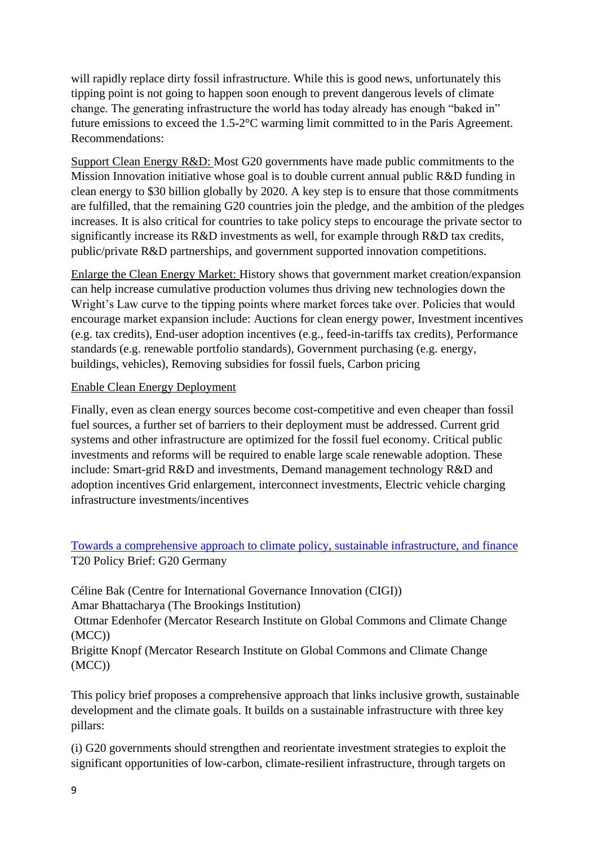will rapidly replace dirty fossil infrastructure. While this is good news, unfortunately this tipping point is not going to happen soon enough to prevent dangerous levels of climate change. The generating infrastructure the world has today already has enough "baked in" future emissions to exceed the 1.5-2°C warming limit committed to in the Paris Agreement. Recommendations:

Support Clean Energy R&D: Most G20 governments have made public commitments to the Mission Innovation initiative whose goal is to double current annual public R&D funding in clean energy to \$30 billion globally by 2020. A key step is to ensure that those commitments are fulfilled, that the remaining G20 countries join the pledge, and the ambition of the pledges increases. It is also critical for countries to take policy steps to encourage the private sector to significantly increase its R&D investments as well, for example through R&D tax credits, public/private R&D partnerships, and government supported innovation competitions.

Enlarge the Clean Energy Market: History shows that government market creation/expansion can help increase cumulative production volumes thus driving new technologies down the Wright's Law curve to the tipping points where market forces take over. Policies that would encourage market expansion include: Auctions for clean energy power, Investment incentives (e.g. tax credits), End-user adoption incentives (e.g., feed-in-tariffs tax credits), Performance standards (e.g. renewable portfolio standards), Government purchasing (e.g. energy, buildings, vehicles), Removing subsidies for fossil fuels, Carbon pricing

## Enable Clean Energy Deployment

Finally, even as clean energy sources become cost-competitive and even cheaper than fossil fuel sources, a further set of barriers to their deployment must be addressed. Current grid systems and other infrastructure are optimized for the fossil fuel economy. Critical public investments and reforms will be required to enable large scale renewable adoption. These include: Smart-grid R&D and investments, Demand management technology R&D and adoption incentives Grid enlargement, interconnect investments, Electric vehicle charging infrastructure investments/incentives

## [Towards a comprehensive approach to climate policy, sustainable infrastructure, and finance](https://www.g20-insights.org/policy_briefs/towards-comprehensive-approach-climate-policy-sustainable-infrastructure-finance/) T20 Policy Brief: G20 Germany

Céline Bak (Centre for International Governance Innovation (CIGI)) Amar Bhattacharya (The Brookings Institution)

Ottmar Edenhofer (Mercator Research Institute on Global Commons and Climate Change (MCC))

Brigitte Knopf (Mercator Research Institute on Global Commons and Climate Change (MCC))

This policy brief proposes a comprehensive approach that links inclusive growth, sustainable development and the climate goals. It builds on a sustainable infrastructure with three key pillars:

(i) G20 governments should strengthen and reorientate investment strategies to exploit the significant opportunities of low-carbon, climate-resilient infrastructure, through targets on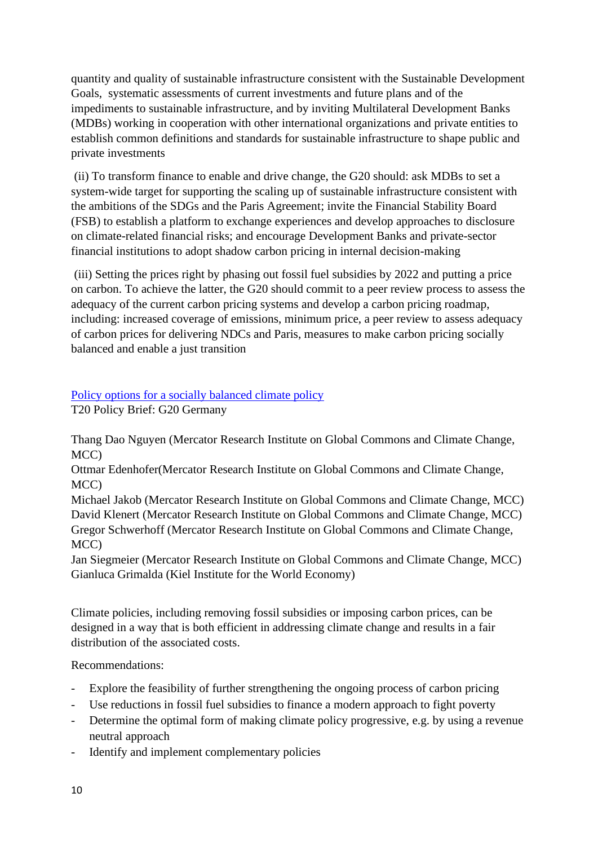quantity and quality of sustainable infrastructure consistent with the Sustainable Development Goals, systematic assessments of current investments and future plans and of the impediments to sustainable infrastructure, and by inviting Multilateral Development Banks (MDBs) working in cooperation with other international organizations and private entities to establish common definitions and standards for sustainable infrastructure to shape public and private investments

(ii) To transform finance to enable and drive change, the G20 should: ask MDBs to set a system-wide target for supporting the scaling up of sustainable infrastructure consistent with the ambitions of the SDGs and the Paris Agreement; invite the Financial Stability Board (FSB) to establish a platform to exchange experiences and develop approaches to disclosure on climate-related financial risks; and encourage Development Banks and private-sector financial institutions to adopt shadow carbon pricing in internal decision-making

(iii) Setting the prices right by phasing out fossil fuel subsidies by 2022 and putting a price on carbon. To achieve the latter, the G20 should commit to a peer review process to assess the adequacy of the current carbon pricing systems and develop a carbon pricing roadmap, including: increased coverage of emissions, minimum price, a peer review to assess adequacy of carbon prices for delivering NDCs and Paris, measures to make carbon pricing socially balanced and enable a just transition

## [Policy options for a socially balanced climate policy](https://www.g20-insights.org/policy_briefs/policy-options-socially-balanced-climate-policy/)

T20 Policy Brief: G20 Germany

Thang Dao Nguyen (Mercator Research Institute on Global Commons and Climate Change, MCC)

Ottmar Edenhofer(Mercator Research Institute on Global Commons and Climate Change, MCC)

Michael Jakob (Mercator Research Institute on Global Commons and Climate Change, MCC) David Klenert (Mercator Research Institute on Global Commons and Climate Change, MCC) Gregor Schwerhoff (Mercator Research Institute on Global Commons and Climate Change, MCC)

Jan Siegmeier (Mercator Research Institute on Global Commons and Climate Change, MCC) Gianluca Grimalda (Kiel Institute for the World Economy)

Climate policies, including removing fossil subsidies or imposing carbon prices, can be designed in a way that is both efficient in addressing climate change and results in a fair distribution of the associated costs.

## Recommendations:

- Explore the feasibility of further strengthening the ongoing process of carbon pricing
- Use reductions in fossil fuel subsidies to finance a modern approach to fight poverty
- Determine the optimal form of making climate policy progressive, e.g. by using a revenue neutral approach
- Identify and implement complementary policies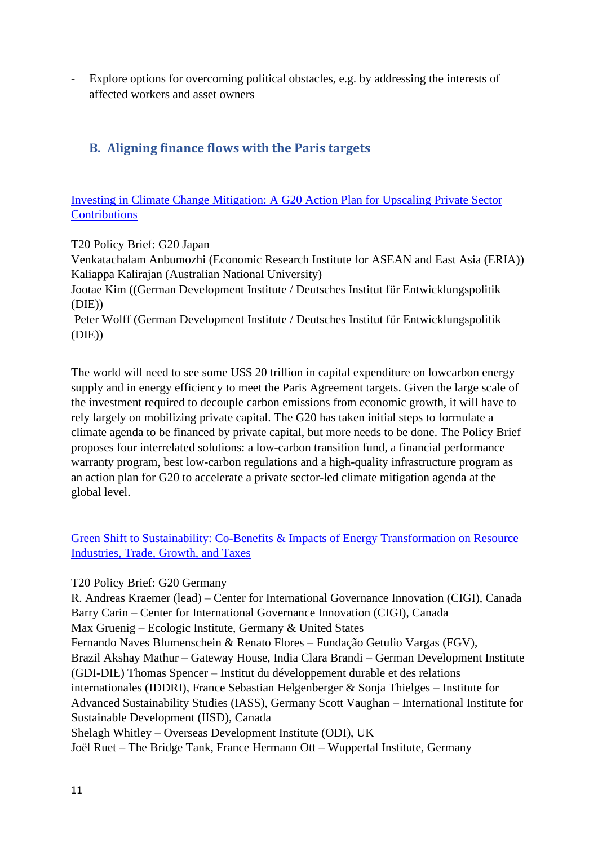Explore options for overcoming political obstacles, e.g. by addressing the interests of affected workers and asset owners

# <span id="page-10-0"></span>**B. Aligning finance flows with the Paris targets**

Investing in Climate Change [Mitigation:](https://www.g20-insights.org/policy_briefs/investing-in-climate-change-mitigation-a-g20-action-plan-for-upscaling-private-sector-contributions-3/) A G20 Action Plan for Upscaling Private Sector **[Contributions](https://www.g20-insights.org/policy_briefs/investing-in-climate-change-mitigation-a-g20-action-plan-for-upscaling-private-sector-contributions-3/)** 

T20 Policy Brief: G20 Japan

Venkatachalam Anbumozhi (Economic Research Institute for ASEAN and East Asia (ERIA)) Kaliappa Kalirajan (Australian National University)

Jootae Kim ((German Development Institute / Deutsches Institut für Entwicklungspolitik (DIE))

Peter Wolff (German Development Institute / Deutsches Institut für Entwicklungspolitik (DIE))

The world will need to see some US\$ 20 trillion in capital expenditure on lowcarbon energy supply and in energy efficiency to meet the Paris Agreement targets. Given the large scale of the investment required to decouple carbon emissions from economic growth, it will have to rely largely on mobilizing private capital. The G20 has taken initial steps to formulate a climate agenda to be financed by private capital, but more needs to be done. The Policy Brief proposes four interrelated solutions: a low-carbon transition fund, a financial performance warranty program, best low-carbon regulations and a high-quality infrastructure program as an action plan for G20 to accelerate a private sector-led climate mitigation agenda at the global level.

Green Shift to Sustainability: Co-Benefits & Impacts of Energy Transformation on Resource [Industries, Trade, Growth, and Taxes](https://www.g20-insights.org/policy_briefs/green-shift-sustainability-co-benefits-impacts-energy-transformation-resource-industries-trade-growth-taxes/)

T20 Policy Brief: G20 Germany

R. Andreas Kraemer (lead) – Center for International Governance Innovation (CIGI), Canada Barry Carin – Center for International Governance Innovation (CIGI), Canada Max Gruenig – Ecologic Institute, Germany & United States Fernando Naves Blumenschein & Renato Flores – Fundação Getulio Vargas (FGV), Brazil Akshay Mathur – Gateway House, India Clara Brandi – German Development Institute (GDI-DIE) Thomas Spencer – Institut du développement durable et des relations internationales (IDDRI), France Sebastian Helgenberger & Sonja Thielges – Institute for Advanced Sustainability Studies (IASS), Germany Scott Vaughan – International Institute for Sustainable Development (IISD), Canada Shelagh Whitley – Overseas Development Institute (ODI), UK Joël Ruet – The Bridge Tank, France Hermann Ott – Wuppertal Institute, Germany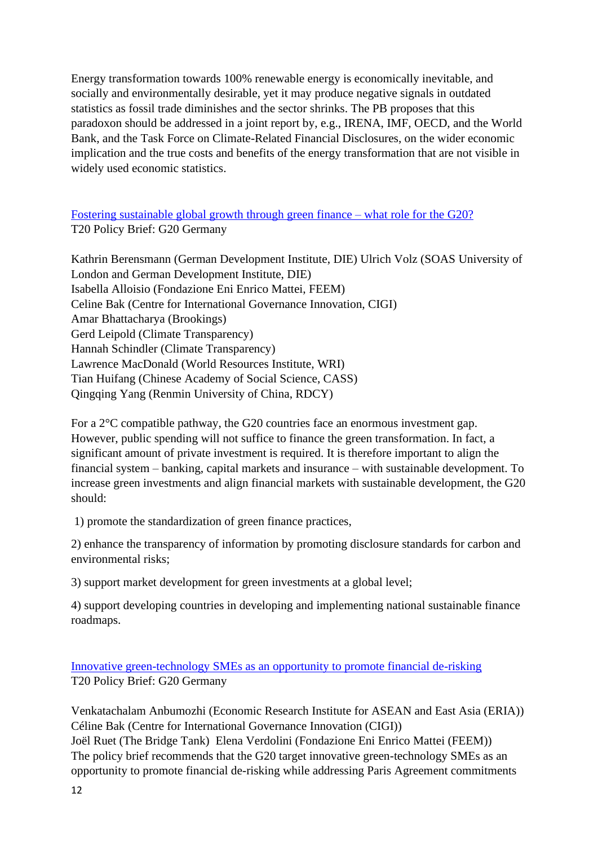Energy transformation towards 100% renewable energy is economically inevitable, and socially and environmentally desirable, yet it may produce negative signals in outdated statistics as fossil trade diminishes and the sector shrinks. The PB proposes that this paradoxon should be addressed in a joint report by, e.g., IRENA, IMF, OECD, and the World Bank, and the Task Force on Climate-Related Financial Disclosures, on the wider economic implication and the true costs and benefits of the energy transformation that are not visible in widely used economic statistics.

Fostering [sustainable](https://www.g20-insights.org/policy_briefs/fostering-sustainable-global-growth-green-finance-role-g20/) global growth through green finance – what role for the G20? T20 Policy Brief: G20 Germany

Kathrin Berensmann (German Development Institute, DIE) Ulrich Volz (SOAS University of London and German Development Institute, DIE) Isabella Alloisio (Fondazione Eni Enrico Mattei, FEEM) Celine Bak (Centre for International Governance Innovation, CIGI) Amar Bhattacharya (Brookings) Gerd Leipold (Climate Transparency) Hannah Schindler (Climate Transparency) Lawrence MacDonald (World Resources Institute, WRI) Tian Huifang (Chinese Academy of Social Science, CASS) Qingqing Yang (Renmin University of China, RDCY)

For a 2°C compatible pathway, the G20 countries face an enormous investment gap. However, public spending will not suffice to finance the green transformation. In fact, a significant amount of private investment is required. It is therefore important to align the financial system – banking, capital markets and insurance – with sustainable development. To increase green investments and align financial markets with sustainable development, the G20 should:

1) promote the standardization of green finance practices,

2) enhance the transparency of information by promoting disclosure standards for carbon and environmental risks;

3) support market development for green investments at a global level;

4) support developing countries in developing and implementing national sustainable finance roadmaps.

[Innovative green-technology SMEs as an opportunity to promote financial de-risking](https://www.g20-insights.org/policy_briefs/innovative-green-technology-smes-opportunity-promote-financial-de-risking/) T20 Policy Brief: G20 Germany

Venkatachalam Anbumozhi (Economic Research Institute for ASEAN and East Asia (ERIA)) Céline Bak (Centre for International Governance Innovation (CIGI)) Joël Ruet (The Bridge Tank) Elena Verdolini (Fondazione Eni Enrico Mattei (FEEM)) The policy brief recommends that the G20 target innovative green-technology SMEs as an opportunity to promote financial de-risking while addressing Paris Agreement commitments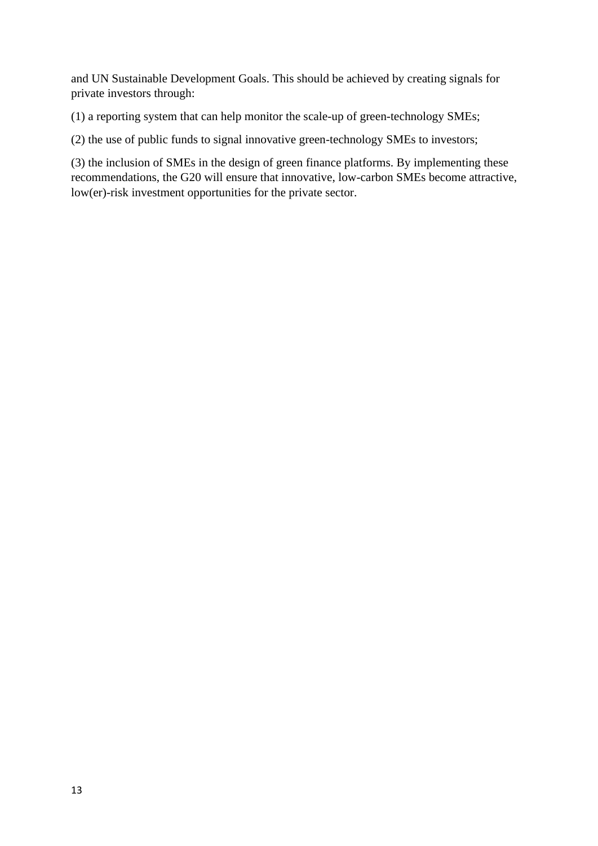and UN Sustainable Development Goals. This should be achieved by creating signals for private investors through:

(1) a reporting system that can help monitor the scale-up of green-technology SMEs;

(2) the use of public funds to signal innovative green-technology SMEs to investors;

(3) the inclusion of SMEs in the design of green finance platforms. By implementing these recommendations, the G20 will ensure that innovative, low-carbon SMEs become attractive, low(er)-risk investment opportunities for the private sector.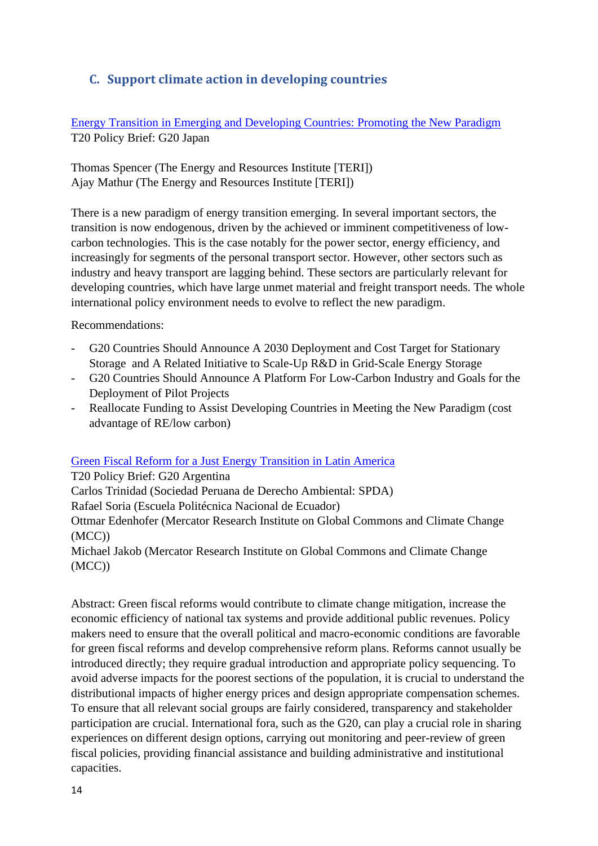# <span id="page-13-0"></span>**C. Support climate action in developing countries**

Energy Transition in Emerging and [Developing](https://t20japan.org/wp-content/uploads/2019/03/t20-japan-tf3-6-energy-transition-emerging-developing-countries.pdf) Countries: Promoting the New Paradigm T20 Policy Brief: G20 Japan

Thomas Spencer (The Energy and Resources Institute [TERI]) Ajay Mathur (The Energy and Resources Institute [TERI])

There is a new paradigm of energy transition emerging. In several important sectors, the transition is now endogenous, driven by the achieved or imminent competitiveness of lowcarbon technologies. This is the case notably for the power sector, energy efficiency, and increasingly for segments of the personal transport sector. However, other sectors such as industry and heavy transport are lagging behind. These sectors are particularly relevant for developing countries, which have large unmet material and freight transport needs. The whole international policy environment needs to evolve to reflect the new paradigm.

Recommendations:

- G20 Countries Should Announce A 2030 Deployment and Cost Target for Stationary Storage and A Related Initiative to Scale-Up R&D in Grid-Scale Energy Storage
- G20 Countries Should Announce A Platform For Low-Carbon Industry and Goals for the Deployment of Pilot Projects
- Reallocate Funding to Assist Developing Countries in Meeting the New Paradigm (cost advantage of RE/low carbon)

## [Green Fiscal Reform for a Just Energy Transition in Latin America](https://www.g20-insights.org/policy_briefs/green-fiscal-reform-for-a-just-energy-transition-in-latin-america/)

T20 Policy Brief: G20 Argentina Carlos Trinidad (Sociedad Peruana de Derecho Ambiental: SPDA) Rafael Soria (Escuela Politécnica Nacional de Ecuador) Ottmar Edenhofer (Mercator Research Institute on Global Commons and Climate Change (MCC)) Michael Jakob (Mercator Research Institute on Global Commons and Climate Change

(MCC))

Abstract: Green fiscal reforms would contribute to climate change mitigation, increase the economic efficiency of national tax systems and provide additional public revenues. Policy makers need to ensure that the overall political and macro-economic conditions are favorable for green fiscal reforms and develop comprehensive reform plans. Reforms cannot usually be introduced directly; they require gradual introduction and appropriate policy sequencing. To avoid adverse impacts for the poorest sections of the population, it is crucial to understand the distributional impacts of higher energy prices and design appropriate compensation schemes. To ensure that all relevant social groups are fairly considered, transparency and stakeholder participation are crucial. International fora, such as the G20, can play a crucial role in sharing experiences on different design options, carrying out monitoring and peer-review of green fiscal policies, providing financial assistance and building administrative and institutional capacities.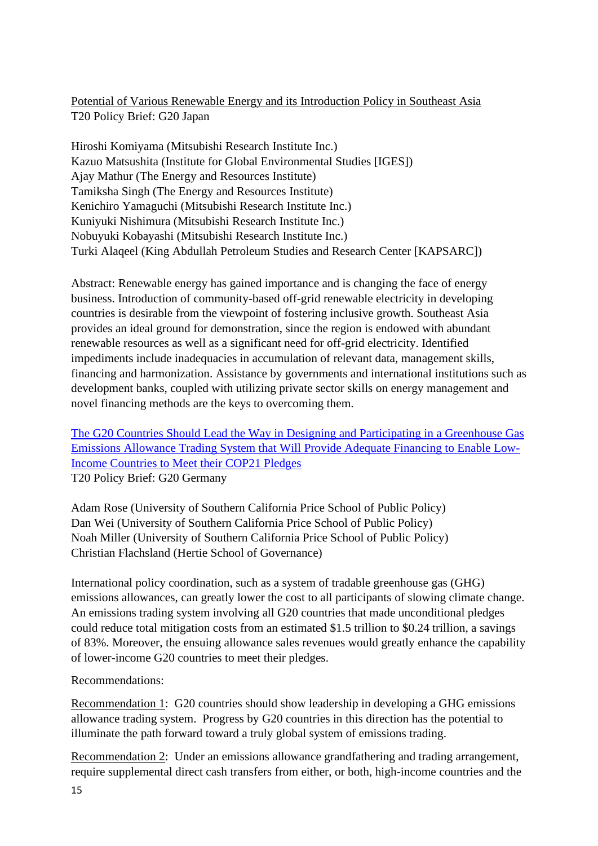## Potential of Various Renewable Energy and its [Introduction](https://t20japan.org/policy-brief-various-renewable-energy-policy-southeast-asia/) Policy in Southeast Asia T20 Policy Brief: G20 Japan

Hiroshi Komiyama (Mitsubishi Research Institute Inc.) Kazuo Matsushita (Institute for Global Environmental Studies [IGES]) Ajay Mathur (The Energy and Resources Institute) Tamiksha Singh (The Energy and Resources Institute) Kenichiro Yamaguchi (Mitsubishi Research Institute Inc.) Kuniyuki Nishimura (Mitsubishi Research Institute Inc.) Nobuyuki Kobayashi (Mitsubishi Research Institute Inc.) Turki Alaqeel (King Abdullah Petroleum Studies and Research Center [KAPSARC])

Abstract: Renewable energy has gained importance and is changing the face of energy business. Introduction of community-based off-grid renewable electricity in developing countries is desirable from the viewpoint of fostering inclusive growth. Southeast Asia provides an ideal ground for demonstration, since the region is endowed with abundant renewable resources as well as a significant need for off-grid electricity. Identified impediments include inadequacies in accumulation of relevant data, management skills, financing and harmonization. Assistance by governments and international institutions such as development banks, coupled with utilizing private sector skills on energy management and novel financing methods are the keys to overcoming them.

[The G20 Countries Should Lead the Way in Designing and Participating in a Greenhouse Gas](https://www.g20-insights.org/wp-content/uploads/2017/03/The-G20-Countries-Should-Lead-the-Way..pdf)  [Emissions Allowance Trading System that Will Provide Adequate Financing to Enable Low-](https://www.g20-insights.org/wp-content/uploads/2017/03/The-G20-Countries-Should-Lead-the-Way..pdf)Income [Countries to Meet their COP21 Pledges](https://www.g20-insights.org/wp-content/uploads/2017/03/The-G20-Countries-Should-Lead-the-Way..pdf)

T20 Policy Brief: G20 Germany

Adam Rose (University of Southern California Price School of Public Policy) Dan Wei (University of Southern California Price School of Public Policy) Noah Miller (University of Southern California Price School of Public Policy) Christian Flachsland (Hertie School of Governance)

International policy coordination, such as a system of tradable greenhouse gas (GHG) emissions allowances, can greatly lower the cost to all participants of slowing climate change. An emissions trading system involving all G20 countries that made unconditional pledges could reduce total mitigation costs from an estimated \$1.5 trillion to \$0.24 trillion, a savings of 83%. Moreover, the ensuing allowance sales revenues would greatly enhance the capability of lower-income G20 countries to meet their pledges.

## Recommendations:

Recommendation 1: G20 countries should show leadership in developing a GHG emissions allowance trading system. Progress by G20 countries in this direction has the potential to illuminate the path forward toward a truly global system of emissions trading.

Recommendation 2: Under an emissions allowance grandfathering and trading arrangement, require supplemental direct cash transfers from either, or both, high-income countries and the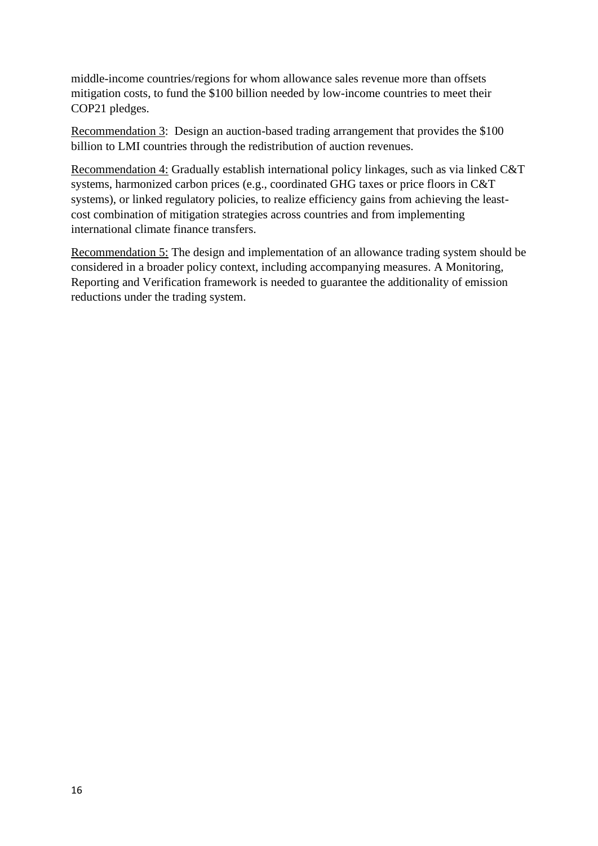middle-income countries/regions for whom allowance sales revenue more than offsets mitigation costs, to fund the \$100 billion needed by low-income countries to meet their COP21 pledges.

Recommendation 3: Design an auction-based trading arrangement that provides the \$100 billion to LMI countries through the redistribution of auction revenues.

Recommendation 4: Gradually establish international policy linkages, such as via linked C&T systems, harmonized carbon prices (e.g., coordinated GHG taxes or price floors in C&T systems), or linked regulatory policies, to realize efficiency gains from achieving the leastcost combination of mitigation strategies across countries and from implementing international climate finance transfers.

Recommendation 5: The design and implementation of an allowance trading system should be considered in a broader policy context, including accompanying measures. A Monitoring, Reporting and Verification framework is needed to guarantee the additionality of emission reductions under the trading system.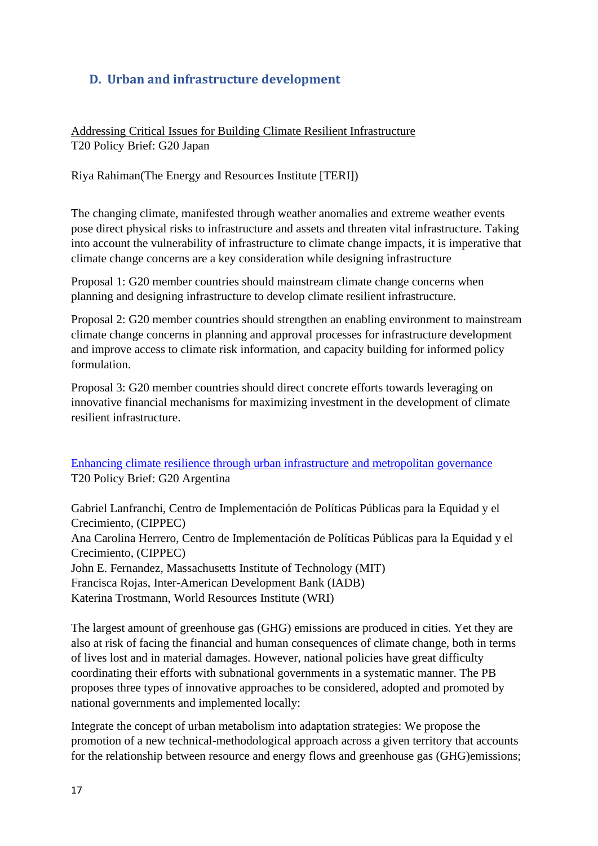# <span id="page-16-0"></span>**D. Urban and infrastructure development**

Addressing Critical Issues for Building Climate Resilient [Infrastructure](https://t20japan.org/policy-brief-critical-issues-climate-resilient-infrastructure/) T20 Policy Brief: G20 Japan

Riya Rahiman(The Energy and Resources Institute [TERI])

The changing climate, manifested through weather anomalies and extreme weather events pose direct physical risks to infrastructure and assets and threaten vital infrastructure. Taking into account the vulnerability of infrastructure to climate change impacts, it is imperative that climate change concerns are a key consideration while designing infrastructure

Proposal 1: G20 member countries should mainstream climate change concerns when planning and designing infrastructure to develop climate resilient infrastructure.

Proposal 2: G20 member countries should strengthen an enabling environment to mainstream climate change concerns in planning and approval processes for infrastructure development and improve access to climate risk information, and capacity building for informed policy formulation.

Proposal 3: G20 member countries should direct concrete efforts towards leveraging on innovative financial mechanisms for maximizing investment in the development of climate resilient infrastructure.

[Enhancing climate resilience through urban infrastructure and metropolitan governance](https://www.g20-insights.org/wp-content/uploads/2018/07/GSx-TF-2-PB-resilience-22-05-18.pdf) T20 Policy Brief: G20 Argentina

Gabriel Lanfranchi, Centro de Implementación de Políticas Públicas para la Equidad y el Crecimiento, (CIPPEC) Ana Carolina Herrero, Centro de Implementación de Políticas Públicas para la Equidad y el Crecimiento, (CIPPEC) John E. Fernandez, Massachusetts Institute of Technology (MIT) Francisca Rojas, Inter-American Development Bank (IADB) Katerina Trostmann, World Resources Institute (WRI)

The largest amount of greenhouse gas (GHG) emissions are produced in cities. Yet they are also at risk of facing the financial and human consequences of climate change, both in terms of lives lost and in material damages. However, national policies have great difficulty coordinating their efforts with subnational governments in a systematic manner. The PB proposes three types of innovative approaches to be considered, adopted and promoted by national governments and implemented locally:

Integrate the concept of urban metabolism into adaptation strategies: We propose the promotion of a new technical-methodological approach across a given territory that accounts for the relationship between resource and energy flows and greenhouse gas (GHG)emissions;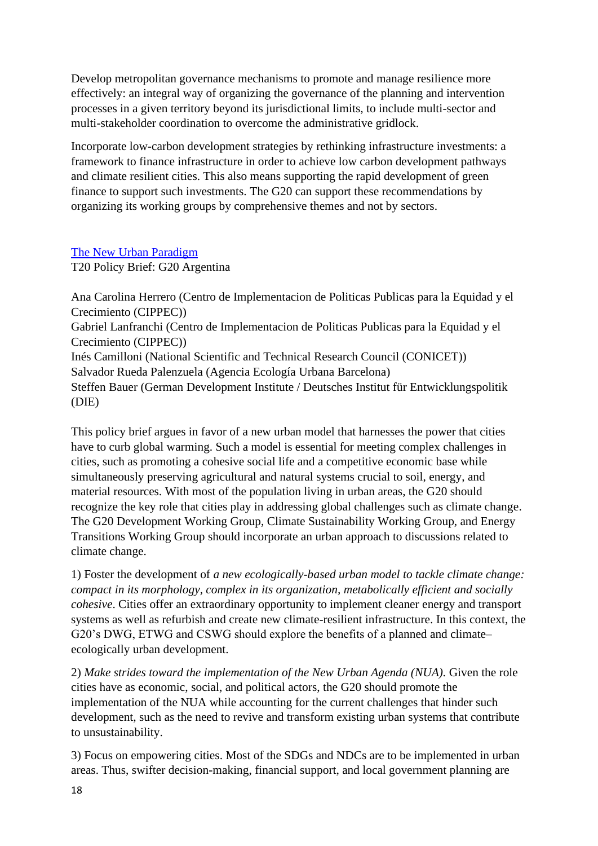Develop metropolitan governance mechanisms to promote and manage resilience more effectively: an integral way of organizing the governance of the planning and intervention processes in a given territory beyond its jurisdictional limits, to include multi-sector and multi-stakeholder coordination to overcome the administrative gridlock.

Incorporate low-carbon development strategies by rethinking infrastructure investments: a framework to finance infrastructure in order to achieve low carbon development pathways and climate resilient cities. This also means supporting the rapid development of green finance to support such investments. The G20 can support these recommendations by organizing its working groups by comprehensive themes and not by sectors.

## [The New Urban Paradigm](https://www.g20-insights.org/policy_briefs/the-new-urban-paradigm/)

T20 Policy Brief: G20 Argentina

Ana Carolina Herrero (Centro de Implementacion de Politicas Publicas para la Equidad y el Crecimiento (CIPPEC)) Gabriel Lanfranchi (Centro de Implementacion de Politicas Publicas para la Equidad y el Crecimiento (CIPPEC)) Inés Camilloni (National Scientific and Technical Research Council (CONICET)) Salvador Rueda Palenzuela (Agencia Ecología Urbana Barcelona) Steffen Bauer (German Development Institute / Deutsches Institut für Entwicklungspolitik (DIE)

This policy brief argues in favor of a new urban model that harnesses the power that cities have to curb global warming. Such a model is essential for meeting complex challenges in cities, such as promoting a cohesive social life and a competitive economic base while simultaneously preserving agricultural and natural systems crucial to soil, energy, and material resources. With most of the population living in urban areas, the G20 should recognize the key role that cities play in addressing global challenges such as climate change. The G20 Development Working Group, Climate Sustainability Working Group, and Energy Transitions Working Group should incorporate an urban approach to discussions related to climate change.

1) Foster the development of *a new ecologically-based urban model to tackle climate change: compact in its morphology, complex in its organization, metabolically efficient and socially cohesive*. Cities offer an extraordinary opportunity to implement cleaner energy and transport systems as well as refurbish and create new climate-resilient infrastructure. In this context, the G20's DWG, ETWG and CSWG should explore the benefits of a planned and climate– ecologically urban development.

2) *Make strides toward the implementation of the New Urban Agenda (NUA).* Given the role cities have as economic, social, and political actors, the G20 should promote the implementation of the NUA while accounting for the current challenges that hinder such development, such as the need to revive and transform existing urban systems that contribute to unsustainability.

3) Focus on empowering cities. Most of the SDGs and NDCs are to be implemented in urban areas. Thus, swifter decision-making, financial support, and local government planning are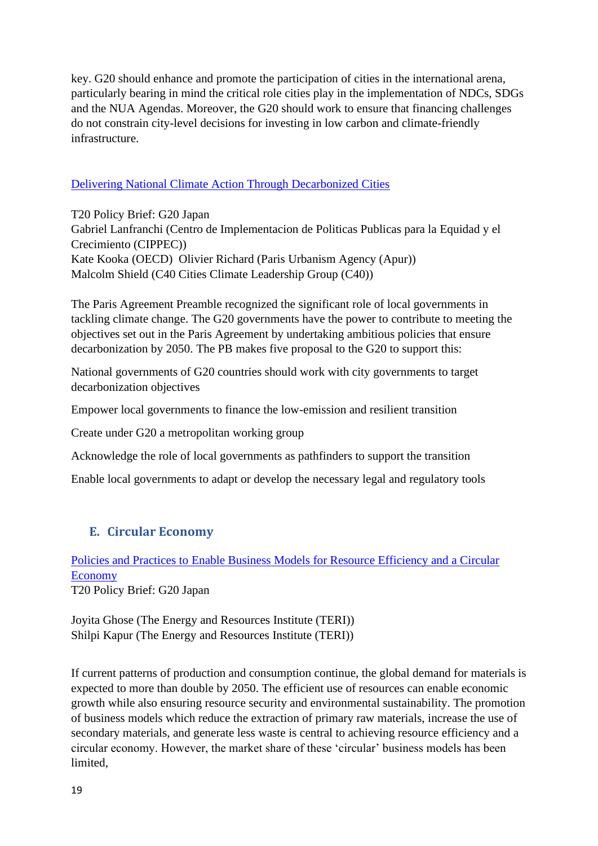key. G20 should enhance and promote the participation of cities in the international arena, particularly bearing in mind the critical role cities play in the implementation of NDCs, SDGs and the NUA Agendas. Moreover, the G20 should work to ensure that financing challenges do not constrain city-level decisions for investing in low carbon and climate-friendly infrastructure.

## Delivering National Climate Action Through [Decarbonized](https://www.g20-insights.org/policy_briefs/delivering-national-climate-action-through-decarbonized-cities/) Cities

T20 Policy Brief: G20 Japan Gabriel Lanfranchi (Centro de Implementacion de Politicas Publicas para la Equidad y el Crecimiento (CIPPEC)) Kate Kooka (OECD) Olivier Richard (Paris Urbanism Agency (Apur)) Malcolm Shield (C40 Cities Climate Leadership Group (C40))

The Paris Agreement Preamble recognized the significant role of local governments in tackling climate change. The G20 governments have the power to contribute to meeting the objectives set out in the Paris Agreement by undertaking ambitious policies that ensure decarbonization by 2050. The PB makes five proposal to the G20 to support this:

National governments of G20 countries should work with city governments to target decarbonization objectives

Empower local governments to finance the low-emission and resilient transition

Create under G20 a metropolitan working group

Acknowledge the role of local governments as pathfinders to support the transition

Enable local governments to adapt or develop the necessary legal and regulatory tools

# <span id="page-18-0"></span>**E. Circular Economy**

Policies and Practices to Enable Business Models for Resource [Efficiency](https://t20japan.org/wp-content/uploads/2019/03/t20-japan-tf3-7-business-models-efficiency-circular-economy.pdf) and a Circular [Economy](https://t20japan.org/wp-content/uploads/2019/03/t20-japan-tf3-7-business-models-efficiency-circular-economy.pdf) T20 Policy Brief: G20 Japan

Joyita Ghose (The Energy and Resources Institute (TERI)) Shilpi Kapur (The Energy and Resources Institute (TERI))

If current patterns of production and consumption continue, the global demand for materials is expected to more than double by 2050. The efficient use of resources can enable economic growth while also ensuring resource security and environmental sustainability. The promotion of business models which reduce the extraction of primary raw materials, increase the use of secondary materials, and generate less waste is central to achieving resource efficiency and a circular economy. However, the market share of these 'circular' business models has been limited,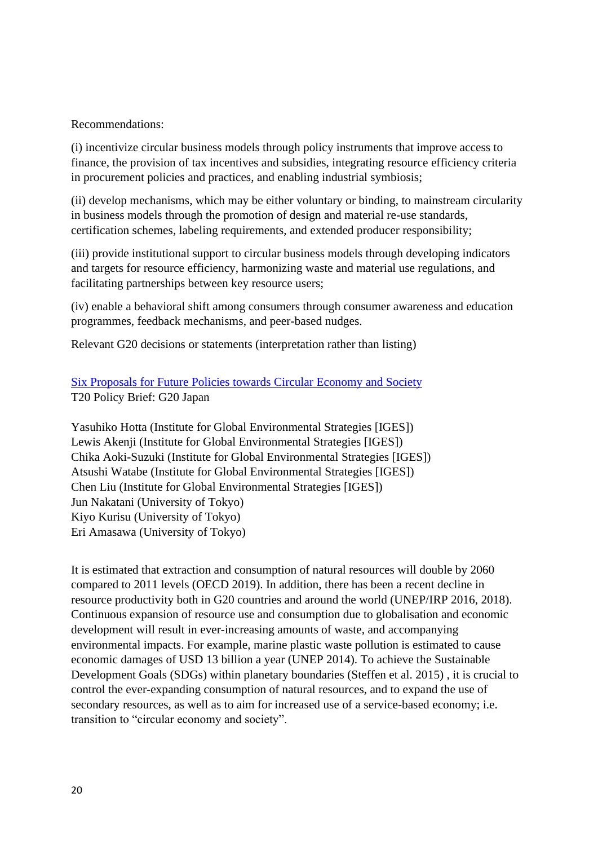#### Recommendations:

(i) incentivize circular business models through policy instruments that improve access to finance, the provision of tax incentives and subsidies, integrating resource efficiency criteria in procurement policies and practices, and enabling industrial symbiosis;

(ii) develop mechanisms, which may be either voluntary or binding, to mainstream circularity in business models through the promotion of design and material re-use standards, certification schemes, labeling requirements, and extended producer responsibility;

(iii) provide institutional support to circular business models through developing indicators and targets for resource efficiency, harmonizing waste and material use regulations, and facilitating partnerships between key resource users;

(iv) enable a behavioral shift among consumers through consumer awareness and education programmes, feedback mechanisms, and peer-based nudges.

Relevant G20 decisions or statements (interpretation rather than listing)

## Six [Proposals](https://t20japan.org/policy-brief-six-proposals-future-policies-circular-economy-society/) for Future Policies towards Circular Economy and Society T20 Policy Brief: G20 Japan

Yasuhiko Hotta (Institute for Global Environmental Strategies [IGES]) Lewis Akenji (Institute for Global Environmental Strategies [IGES]) Chika Aoki-Suzuki (Institute for Global Environmental Strategies [IGES]) Atsushi Watabe (Institute for Global Environmental Strategies [IGES]) Chen Liu (Institute for Global Environmental Strategies [IGES]) Jun Nakatani (University of Tokyo) Kiyo Kurisu (University of Tokyo) Eri Amasawa (University of Tokyo)

It is estimated that extraction and consumption of natural resources will double by 2060 compared to 2011 levels (OECD 2019). In addition, there has been a recent decline in resource productivity both in G20 countries and around the world (UNEP/IRP 2016, 2018). Continuous expansion of resource use and consumption due to globalisation and economic development will result in ever-increasing amounts of waste, and accompanying environmental impacts. For example, marine plastic waste pollution is estimated to cause economic damages of USD 13 billion a year (UNEP 2014). To achieve the Sustainable Development Goals (SDGs) within planetary boundaries (Steffen et al. 2015) , it is crucial to control the ever-expanding consumption of natural resources, and to expand the use of secondary resources, as well as to aim for increased use of a service-based economy; i.e. transition to "circular economy and society".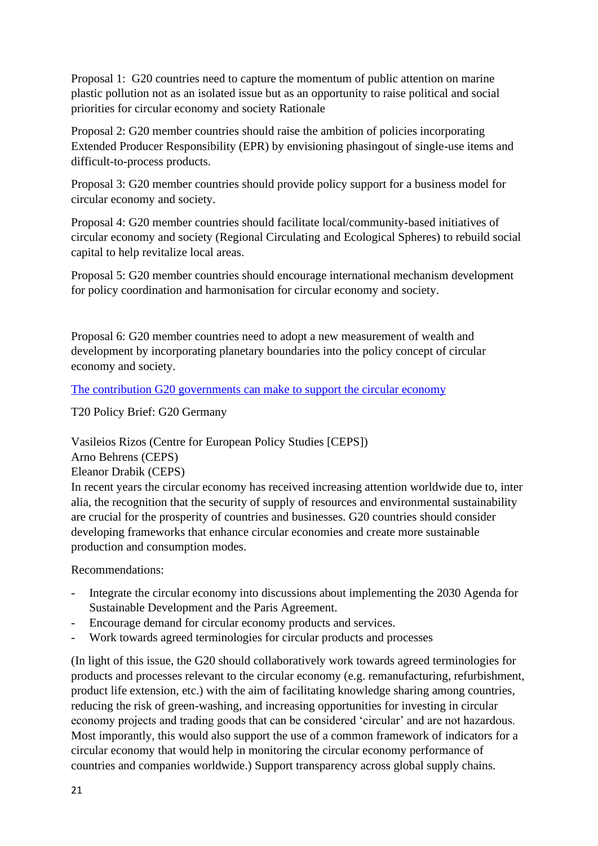Proposal 1: G20 countries need to capture the momentum of public attention on marine plastic pollution not as an isolated issue but as an opportunity to raise political and social priorities for circular economy and society Rationale

Proposal 2: G20 member countries should raise the ambition of policies incorporating Extended Producer Responsibility (EPR) by envisioning phasingout of single-use items and difficult-to-process products.

Proposal 3: G20 member countries should provide policy support for a business model for circular economy and society.

Proposal 4: G20 member countries should facilitate local/community-based initiatives of circular economy and society (Regional Circulating and Ecological Spheres) to rebuild social capital to help revitalize local areas.

Proposal 5: G20 member countries should encourage international mechanism development for policy coordination and harmonisation for circular economy and society.

Proposal 6: G20 member countries need to adopt a new measurement of wealth and development by incorporating planetary boundaries into the policy concept of circular economy and society.

[The contribution G20 governments can make to support the circular economy](https://www.g20-insights.org/policy_briefs/contribution-g20-governments-can-make-support-circular-economy/)

T20 Policy Brief: G20 Germany

Vasileios Rizos (Centre for European Policy Studies [CEPS])

Arno Behrens (CEPS)

Eleanor Drabik (CEPS)

In recent years the circular economy has received increasing attention worldwide due to, inter alia, the recognition that the security of supply of resources and environmental sustainability are crucial for the prosperity of countries and businesses. G20 countries should consider developing frameworks that enhance circular economies and create more sustainable production and consumption modes.

Recommendations:

- Integrate the circular economy into discussions about implementing the 2030 Agenda for Sustainable Development and the Paris Agreement.
- Encourage demand for circular economy products and services.
- Work towards agreed terminologies for circular products and processes

(In light of this issue, the G20 should collaboratively work towards agreed terminologies for products and processes relevant to the circular economy (e.g. remanufacturing, refurbishment, product life extension, etc.) with the aim of facilitating knowledge sharing among countries, reducing the risk of green-washing, and increasing opportunities for investing in circular economy projects and trading goods that can be considered 'circular' and are not hazardous. Most imporantly, this would also support the use of a common framework of indicators for a circular economy that would help in monitoring the circular economy performance of countries and companies worldwide.) Support transparency across global supply chains.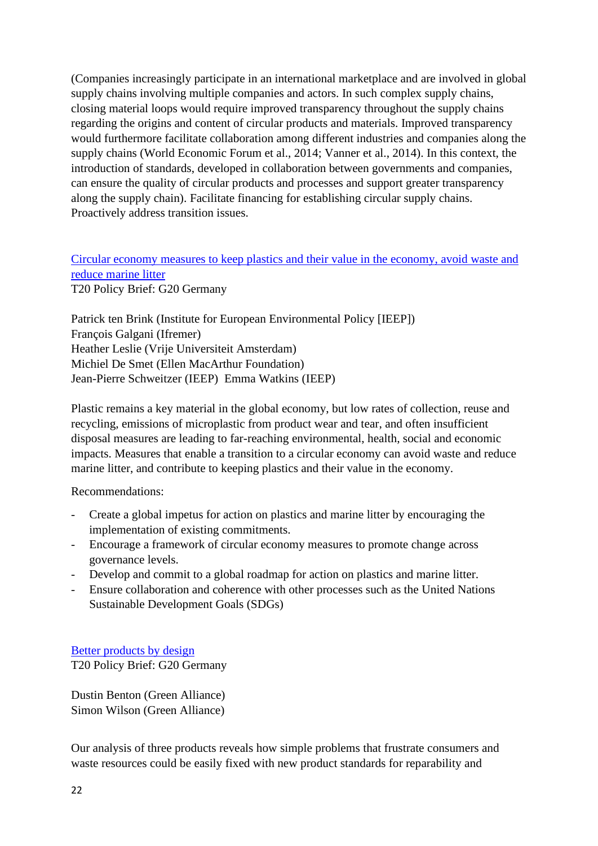(Companies increasingly participate in an international marketplace and are involved in global supply chains involving multiple companies and actors. In such complex supply chains, closing material loops would require improved transparency throughout the supply chains regarding the origins and content of circular products and materials. Improved transparency would furthermore facilitate collaboration among different industries and companies along the supply chains (World Economic Forum et al., 2014; Vanner et al., 2014). In this context, the introduction of standards, developed in collaboration between governments and companies, can ensure the quality of circular products and processes and support greater transparency along the supply chain). Facilitate financing for establishing circular supply chains. Proactively address transition issues.

## Circular economy measures to keep plastics and their value in the [economy,](https://www.g20-insights.org/policy_briefs/circular-economy-measures-keep-plastics-value-economy-avoid-waste-reduce-marine-litter/) avoid waste and reduce [marine](https://www.g20-insights.org/policy_briefs/circular-economy-measures-keep-plastics-value-economy-avoid-waste-reduce-marine-litter/) litter T20 Policy Brief: G20 Germany

Patrick ten Brink (Institute for European Environmental Policy [IEEP]) François Galgani (Ifremer) Heather Leslie (Vrije Universiteit Amsterdam) Michiel De Smet (Ellen MacArthur Foundation) Jean-Pierre Schweitzer (IEEP) Emma Watkins (IEEP)

Plastic remains a key material in the global economy, but low rates of collection, reuse and recycling, emissions of microplastic from product wear and tear, and often insufficient disposal measures are leading to far-reaching environmental, health, social and economic impacts. Measures that enable a transition to a circular economy can avoid waste and reduce marine litter, and contribute to keeping plastics and their value in the economy.

Recommendations:

- Create a global impetus for action on plastics and marine litter by encouraging the implementation of existing commitments.
- Encourage a framework of circular economy measures to promote change across governance levels.
- Develop and commit to a global roadmap for action on plastics and marine litter.
- Ensure collaboration and coherence with other processes such as the United Nations Sustainable Development Goals (SDGs)

[Better products by design](https://www.g20-insights.org/policy_briefs/better-products-design/) T20 Policy Brief: G20 Germany

Dustin Benton (Green Alliance) Simon Wilson (Green Alliance)

Our analysis of three products reveals how simple problems that frustrate consumers and waste resources could be easily fixed with new product standards for reparability and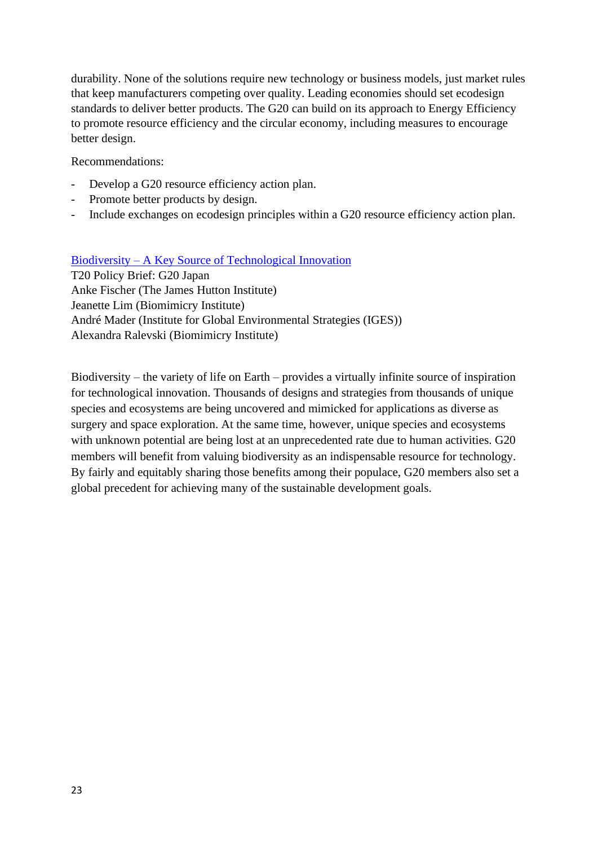durability. None of the solutions require new technology or business models, just market rules that keep manufacturers competing over quality. Leading economies should set ecodesign standards to deliver better products. The G20 can build on its approach to Energy Efficiency to promote resource efficiency and the circular economy, including measures to encourage better design.

Recommendations:

- Develop a G20 resource efficiency action plan.
- Promote better products by design.
- Include exchanges on ecodesign principles within a G20 resource efficiency action plan.

Biodiversity – A Key Source of [Technological](https://www.g20-insights.org/policy_briefs/biodiversity-a-key-source-of-technological-innovation/) Innovation

T20 Policy Brief: G20 Japan Anke Fischer (The James Hutton Institute) Jeanette Lim (Biomimicry Institute) André Mader (Institute for Global Environmental Strategies (IGES)) Alexandra Ralevski (Biomimicry Institute)

Biodiversity – the variety of life on Earth – provides a virtually infinite source of inspiration for technological innovation. Thousands of designs and strategies from thousands of unique species and ecosystems are being uncovered and mimicked for applications as diverse as surgery and space exploration. At the same time, however, unique species and ecosystems with unknown potential are being lost at an unprecedented rate due to human activities. G20 members will benefit from valuing biodiversity as an indispensable resource for technology. By fairly and equitably sharing those benefits among their populace, G20 members also set a global precedent for achieving many of the sustainable development goals.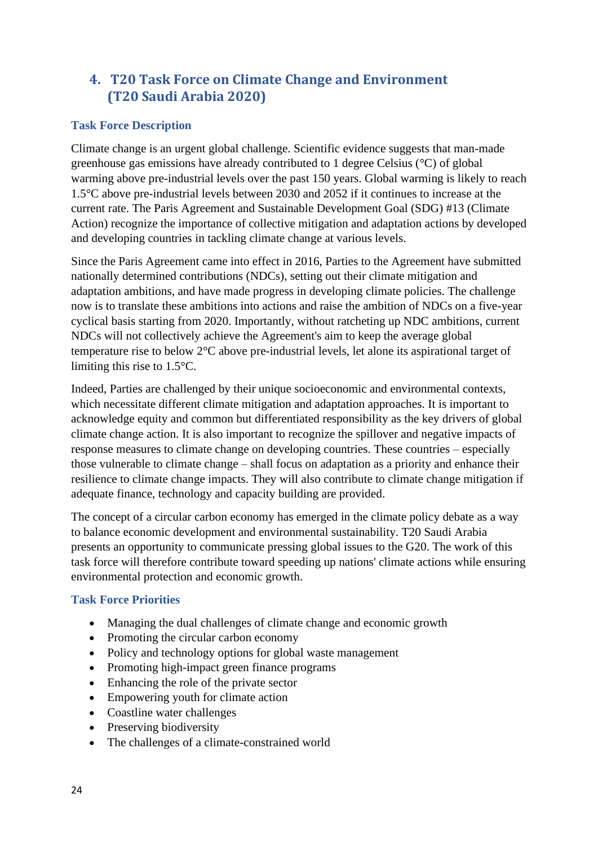# <span id="page-23-0"></span>**4. T20 Task Force on Climate Change and Environment (T20 Saudi Arabia 2020)**

## **Task Force Description**

Climate change is an urgent global challenge. Scientific evidence suggests that man-made greenhouse gas emissions have already contributed to 1 degree Celsius (°C) of global warming above pre-industrial levels over the past 150 years. Global warming is likely to reach 1.5°C above pre-industrial levels between 2030 and 2052 if it continues to increase at the current rate. The Paris Agreement and Sustainable Development Goal (SDG) #13 (Climate Action) recognize the importance of collective mitigation and adaptation actions by developed and developing countries in tackling climate change at various levels.

Since the Paris Agreement came into effect in 2016, Parties to the Agreement have submitted nationally determined contributions (NDCs), setting out their climate mitigation and adaptation ambitions, and have made progress in developing climate policies. The challenge now is to translate these ambitions into actions and raise the ambition of NDCs on a five-year cyclical basis starting from 2020. Importantly, without ratcheting up NDC ambitions, current NDCs will not collectively achieve the Agreement's aim to keep the average global temperature rise to below 2°C above pre-industrial levels, let alone its aspirational target of limiting this rise to 1.5°C.

Indeed, Parties are challenged by their unique socioeconomic and environmental contexts, which necessitate different climate mitigation and adaptation approaches. It is important to acknowledge equity and common but differentiated responsibility as the key drivers of global climate change action. It is also important to recognize the spillover and negative impacts of response measures to climate change on developing countries. These countries – especially those vulnerable to climate change – shall focus on adaptation as a priority and enhance their resilience to climate change impacts. They will also contribute to climate change mitigation if adequate finance, technology and capacity building are provided.

The concept of a circular carbon economy has emerged in the climate policy debate as a way to balance economic development and environmental sustainability. T20 Saudi Arabia presents an opportunity to communicate pressing global issues to the G20. The work of this task force will therefore contribute toward speeding up nations' climate actions while ensuring environmental protection and economic growth.

## **Task Force Priorities**

- Managing the dual challenges of climate change and economic growth
- Promoting the circular carbon economy
- Policy and technology options for global waste management
- Promoting high-impact green finance programs
- Enhancing the role of the private sector
- Empowering youth for climate action
- Coastline water challenges
- Preserving biodiversity
- The challenges of a climate-constrained world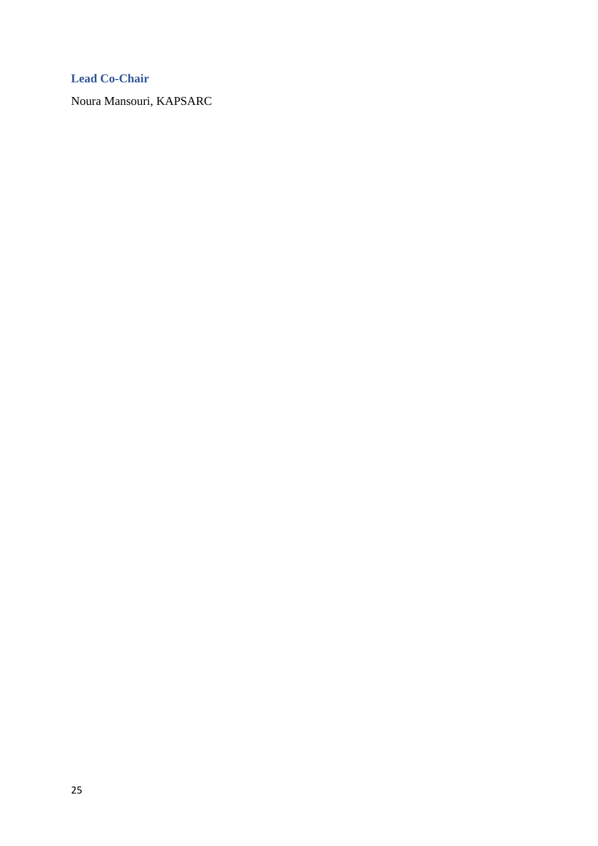## **Lead Co-Chair**

Noura Mansouri, KAPSARC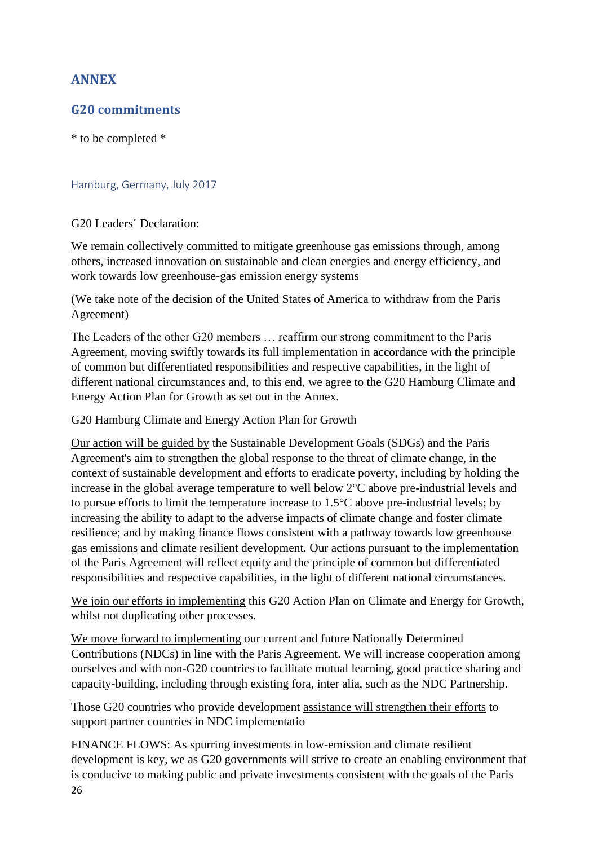# <span id="page-25-0"></span>**ANNEX**

## <span id="page-25-1"></span>**G20 commitments**

\* to be completed \*

#### <span id="page-25-2"></span>Hamburg, Germany, July 2017

#### G20 Leaders´ Declaration:

We remain collectively committed to mitigate greenhouse gas emissions through, among others, increased innovation on sustainable and clean energies and energy efficiency, and work towards low greenhouse-gas emission energy systems

(We take note of the decision of the United States of America to withdraw from the Paris Agreement)

The Leaders of the other G20 members … reaffirm our strong commitment to the Paris Agreement, moving swiftly towards its full implementation in accordance with the principle of common but differentiated responsibilities and respective capabilities, in the light of different national circumstances and, to this end, we agree to the G20 Hamburg Climate and Energy Action Plan for Growth as set out in the Annex.

G20 Hamburg Climate and Energy Action Plan for Growth

Our action will be guided by the Sustainable Development Goals (SDGs) and the Paris Agreement's aim to strengthen the global response to the threat of climate change, in the context of sustainable development and efforts to eradicate poverty, including by holding the increase in the global average temperature to well below 2°C above pre-industrial levels and to pursue efforts to limit the temperature increase to 1.5°C above pre-industrial levels; by increasing the ability to adapt to the adverse impacts of climate change and foster climate resilience; and by making finance flows consistent with a pathway towards low greenhouse gas emissions and climate resilient development. Our actions pursuant to the implementation of the Paris Agreement will reflect equity and the principle of common but differentiated responsibilities and respective capabilities, in the light of different national circumstances.

We join our efforts in implementing this G20 Action Plan on Climate and Energy for Growth, whilst not duplicating other processes.

We move forward to implementing our current and future Nationally Determined Contributions (NDCs) in line with the Paris Agreement. We will increase cooperation among ourselves and with non-G20 countries to facilitate mutual learning, good practice sharing and capacity-building, including through existing fora, inter alia, such as the NDC Partnership.

Those G20 countries who provide development assistance will strengthen their efforts to support partner countries in NDC implementatio

26 FINANCE FLOWS: As spurring investments in low-emission and climate resilient development is key, we as G20 governments will strive to create an enabling environment that is conducive to making public and private investments consistent with the goals of the Paris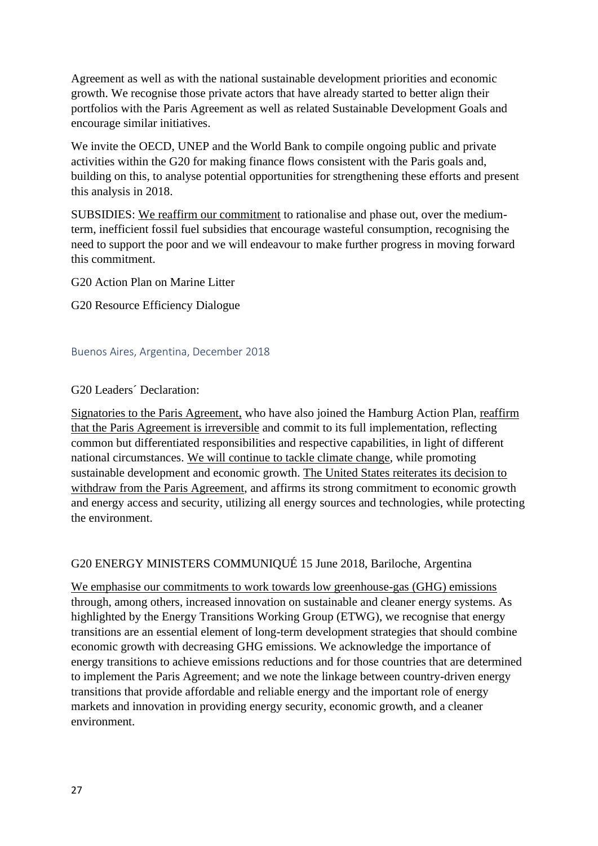Agreement as well as with the national sustainable development priorities and economic growth. We recognise those private actors that have already started to better align their portfolios with the Paris Agreement as well as related Sustainable Development Goals and encourage similar initiatives.

We invite the OECD, UNEP and the World Bank to compile ongoing public and private activities within the G20 for making finance flows consistent with the Paris goals and, building on this, to analyse potential opportunities for strengthening these efforts and present this analysis in 2018.

SUBSIDIES: We reaffirm our commitment to rationalise and phase out, over the mediumterm, inefficient fossil fuel subsidies that encourage wasteful consumption, recognising the need to support the poor and we will endeavour to make further progress in moving forward this commitment.

G20 Action Plan on Marine Litter

G20 Resource Efficiency Dialogue

#### <span id="page-26-0"></span>Buenos Aires, Argentina, December 2018

#### G20 Leaders´ Declaration:

Signatories to the Paris Agreement, who have also joined the Hamburg Action Plan, reaffirm that the Paris Agreement is irreversible and commit to its full implementation, reflecting common but differentiated responsibilities and respective capabilities, in light of different national circumstances. We will continue to tackle climate change, while promoting sustainable development and economic growth. The United States reiterates its decision to withdraw from the Paris Agreement, and affirms its strong commitment to economic growth and energy access and security, utilizing all energy sources and technologies, while protecting the environment.

## G20 ENERGY MINISTERS COMMUNIQUÉ 15 June 2018, Bariloche, Argentina

We emphasise our commitments to work towards low greenhouse-gas (GHG) emissions through, among others, increased innovation on sustainable and cleaner energy systems. As highlighted by the Energy Transitions Working Group (ETWG), we recognise that energy transitions are an essential element of long-term development strategies that should combine economic growth with decreasing GHG emissions. We acknowledge the importance of energy transitions to achieve emissions reductions and for those countries that are determined to implement the Paris Agreement; and we note the linkage between country-driven energy transitions that provide affordable and reliable energy and the important role of energy markets and innovation in providing energy security, economic growth, and a cleaner environment.